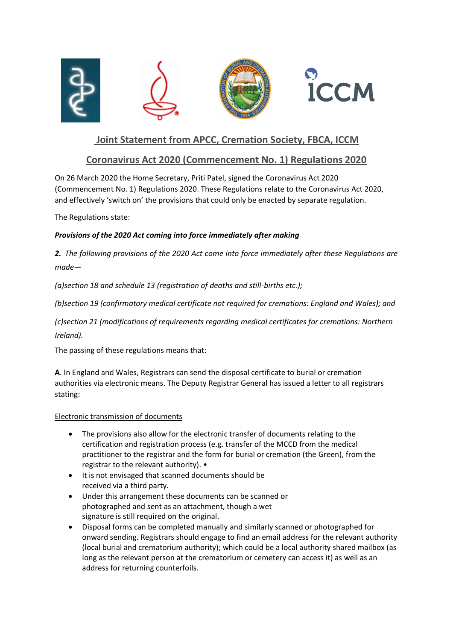

## **Joint Statement from APCC, Cremation Society, FBCA, ICCM**

### **Coronavirus Act 2020 (Commencement No. 1) Regulations 2020**

On 26 March 2020 the Home Secretary, Priti Patel, signed the Coronavirus Act 2020 (Commencement No. 1) Regulations 2020. These Regulations relate to the Coronavirus Act 2020, and effectively 'switch on' the provisions that could only be enacted by separate regulation.

The Regulations state:

### *Provisions of the 2020 Act coming into force immediately after making*

*2. The following provisions of the 2020 Act come into force immediately after these Regulations are made—*

*(a)section 18 and schedule 13 (registration of deaths and still-births etc.);*

*(b)section 19 (confirmatory medical certificate not required for cremations: England and Wales); and*

*(c)section 21 (modifications of requirements regarding medical certificates for cremations: Northern Ireland).*

The passing of these regulations means that:

**A**. In England and Wales, Registrars can send the disposal certificate to burial or cremation authorities via electronic means. The Deputy Registrar General has issued a letter to all registrars stating:

#### Electronic transmission of documents

- The provisions also allow for the electronic transfer of documents relating to the certification and registration process (e.g. transfer of the MCCD from the medical practitioner to the registrar and the form for burial or cremation (the Green), from the registrar to the relevant authority). •
- It is not envisaged that scanned documents should be received via a third party.
- Under this arrangement these documents can be scanned or photographed and sent as an attachment, though a wet signature is still required on the original.
- Disposal forms can be completed manually and similarly scanned or photographed for onward sending. Registrars should engage to find an email address for the relevant authority (local burial and crematorium authority); which could be a local authority shared mailbox (as long as the relevant person at the crematorium or cemetery can access it) as well as an address for returning counterfoils.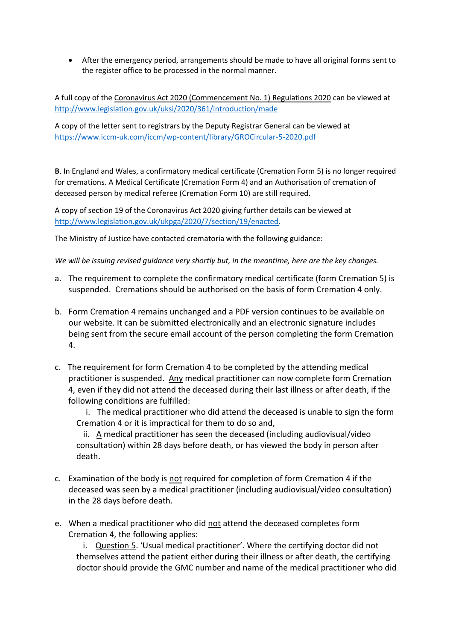• After the emergency period, arrangements should be made to have all original forms sent to the register office to be processed in the normal manner.

A full copy of the Coronavirus Act 2020 (Commencement No. 1) Regulations 2020 can be viewed at <http://www.legislation.gov.uk/uksi/2020/361/introduction/made>

A copy of the letter sent to registrars by the Deputy Registrar General can be viewed at <https://www.iccm-uk.com/iccm/wp-content/library/GROCircular-5-2020.pdf>

**B**. In England and Wales, a confirmatory medical certificate (Cremation Form 5) is no longer required for cremations. A Medical Certificate (Cremation Form 4) and an Authorisation of cremation of deceased person by medical referee (Cremation Form 10) are still required.

A copy of section 19 of the Coronavirus Act 2020 giving further details can be viewed at [http://www.legislation.gov.uk/ukpga/2020/7/section/19/enacted.](http://www.legislation.gov.uk/ukpga/2020/7/section/19/enacted)

The Ministry of Justice have contacted crematoria with the following guidance:

*We will be issuing revised guidance very shortly but, in the meantime, here are the key changes.* 

- a. The requirement to complete the confirmatory medical certificate (form Cremation 5) is suspended. Cremations should be authorised on the basis of form Cremation 4 only.
- b. Form Cremation 4 remains unchanged and a PDF version continues to be available on our website. It can be submitted electronically and an electronic signature includes being sent from the secure email account of the person completing the form Cremation 4.
- c. The requirement for form Cremation 4 to be completed by the attending medical practitioner is suspended. Any medical practitioner can now complete form Cremation 4, even if they did not attend the deceased during their last illness or after death, if the following conditions are fulfilled:

 i. The medical practitioner who did attend the deceased is unable to sign the form Cremation 4 or it is impractical for them to do so and,

 ii. A medical practitioner has seen the deceased (including audiovisual/video consultation) within 28 days before death, or has viewed the body in person after death.

- c. Examination of the body is not required for completion of form Cremation 4 if the deceased was seen by a medical practitioner (including audiovisual/video consultation) in the 28 days before death.
- e. When a medical practitioner who did not attend the deceased completes form Cremation 4, the following applies:

 i. Question 5. 'Usual medical practitioner'. Where the certifying doctor did not themselves attend the patient either during their illness or after death, the certifying doctor should provide the GMC number and name of the medical practitioner who did